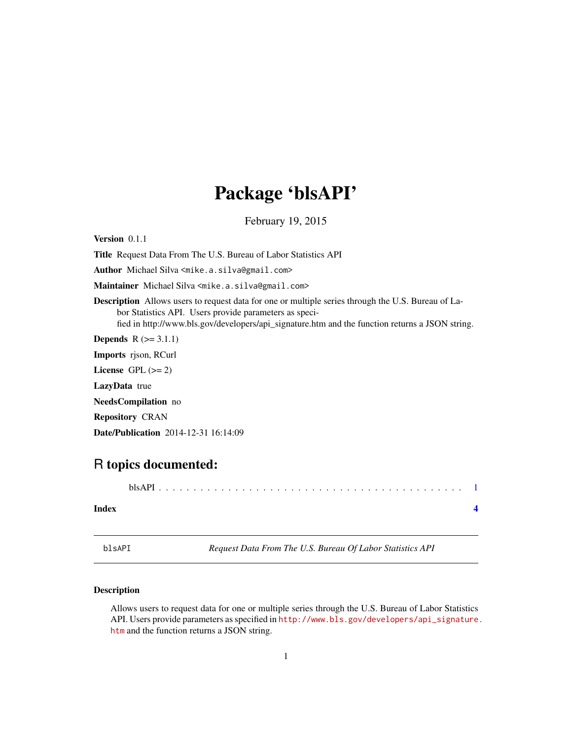## <span id="page-0-0"></span>Package 'blsAPI'

February 19, 2015

Version 0.1.1

Title Request Data From The U.S. Bureau of Labor Statistics API

Author Michael Silva <mike.a.silva@gmail.com>

Maintainer Michael Silva <mike.a.silva@gmail.com>

Description Allows users to request data for one or multiple series through the U.S. Bureau of Labor Statistics API. Users provide parameters as specified in http://www.bls.gov/developers/api\_signature.htm and the function returns a JSON string.

**Depends**  $R$  ( $>= 3.1.1$ )

Imports rjson, RCurl

License GPL  $(>= 2)$ 

LazyData true

NeedsCompilation no

Repository CRAN

Date/Publication 2014-12-31 16:14:09

### R topics documented:

|--|--|

#### **Index** [4](#page-3-0)

blsAPI *Request Data From The U.S. Bureau Of Labor Statistics API*

#### Description

Allows users to request data for one or multiple series through the U.S. Bureau of Labor Statistics API. Users provide parameters as specified in [http://www.bls.gov/developers/api\\_signature.](http://www.bls.gov/developers/api_signature.htm) [htm](http://www.bls.gov/developers/api_signature.htm) and the function returns a JSON string.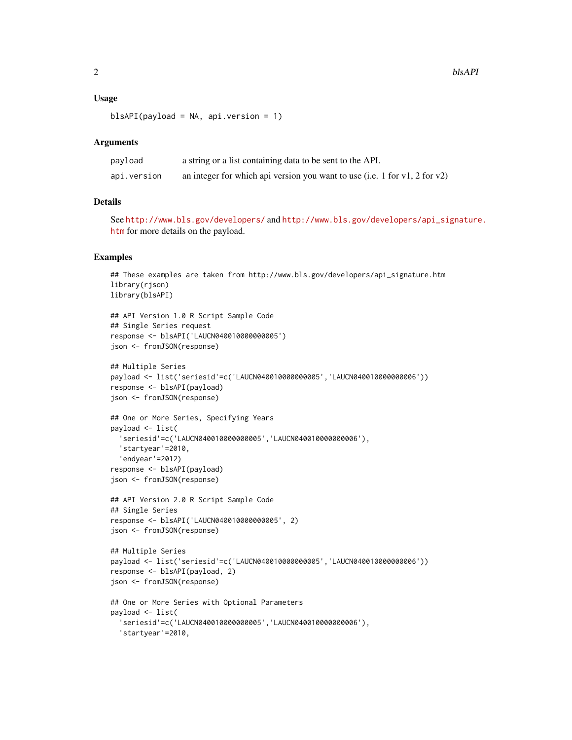#### Usage

blsAPI(payload = NA, api.version = 1)

#### Arguments

| payload     | a string or a list containing data to be sent to the API.                        |
|-------------|----------------------------------------------------------------------------------|
| api.version | an integer for which api version you want to use (i.e. 1 for $v1$ , 2 for $v2$ ) |

#### Details

See <http://www.bls.gov/developers/> and [http://www.bls.gov/developers/api\\_signature](http://www.bls.gov/developers/api_signature.htm). [htm](http://www.bls.gov/developers/api_signature.htm) for more details on the payload.

#### Examples

```
## These examples are taken from http://www.bls.gov/developers/api_signature.htm
library(rjson)
library(blsAPI)
## API Version 1.0 R Script Sample Code
## Single Series request
response <- blsAPI('LAUCN040010000000005')
json <- fromJSON(response)
## Multiple Series
payload <- list('seriesid'=c('LAUCN040010000000005','LAUCN040010000000006'))
response <- blsAPI(payload)
json <- fromJSON(response)
## One or More Series, Specifying Years
payload <- list(
  'seriesid'=c('LAUCN040010000000005','LAUCN040010000000006'),
  'startyear'=2010,
  'endyear'=2012)
response <- blsAPI(payload)
json <- fromJSON(response)
## API Version 2.0 R Script Sample Code
## Single Series
response <- blsAPI('LAUCN040010000000005', 2)
json <- fromJSON(response)
## Multiple Series
payload <- list('seriesid'=c('LAUCN040010000000005','LAUCN040010000000006'))
response <- blsAPI(payload, 2)
json <- fromJSON(response)
## One or More Series with Optional Parameters
payload <- list(
  'seriesid'=c('LAUCN040010000000005','LAUCN040010000000006'),
  'startyear'=2010,
```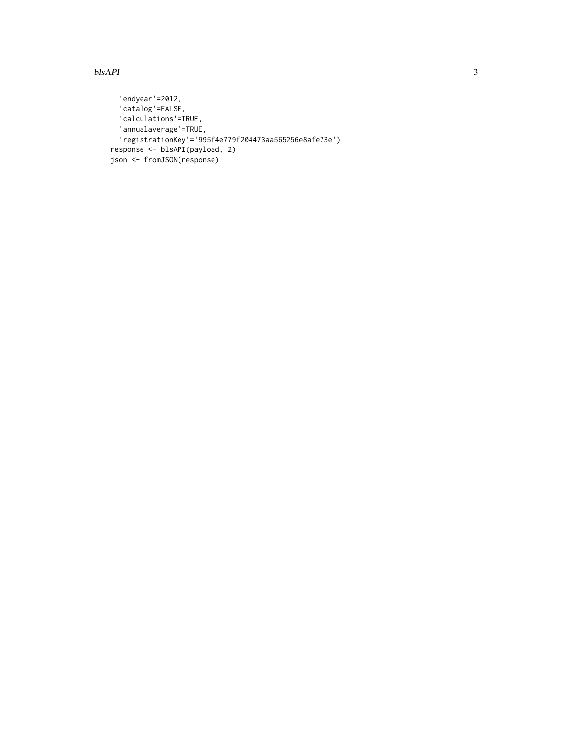#### $b$ lsAPI  $3$

```
'endyear'=2012,
  'catalog'=FALSE,
  'calculations'=TRUE,
  'annualaverage'=TRUE,
  'registrationKey'='995f4e779f204473aa565256e8afe73e')
response <- blsAPI(payload, 2)
json <- fromJSON(response)
```